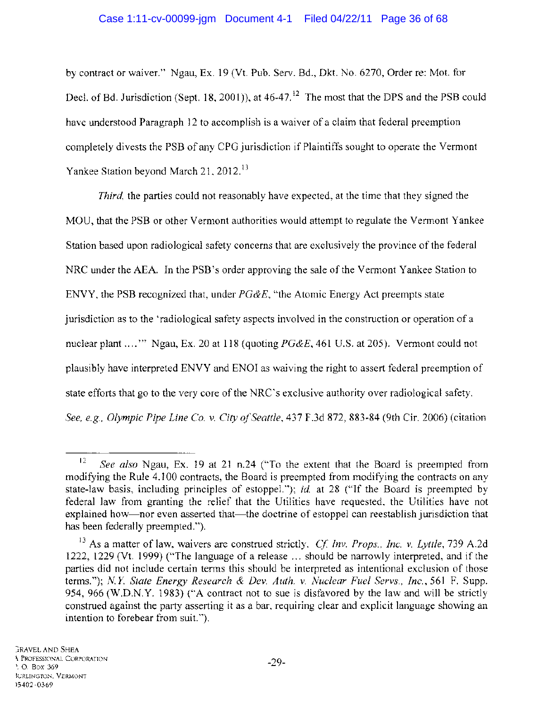by contract or waiver." Ngau, Ex. 19 (Vt. Pub. Serv. Bd., Dkt. No. 6270, Order re: Mot. for Decl. of Bd. Jurisdiction (Sept. 18, 2001)), at  $46-47$ .<sup> $12$ </sup> The most that the DPS and the PSB could have understood Paragraph 12 to accomplish is a waiver of a claim that federal preemption completely divests the PSB of any CPG jurisdiction if Plaintiffs sought to operate the Vermont Yankee Station beyond March 21, 2012.<sup>13</sup>

*Third,* the parties could not reasonably have expected, at the time that they signed the MOU, that the PSB or other Vermont authorities would attempt to regulate the Vermont Yankee Station based upon radiological safety concerns that are exclusively the province of the federal NRC under the AEA. In the PSB's order approving the sale of the Vermont Yankee Station to ENVY, the PSB recognized that, under *PG&E,* "the Atomic Energy Act preempts state jurisdiction as to the 'radiological safety aspects involved in the construction or operation of a nuclear plant .... '" Ngau, Ex. 20 at 118 (quoting *PG&E,* 461 U.S. at 205). Vermont could not plausibly have interpreted ENVY and ENOl as waiving the right to assert federal preemption of state efforts that go to the very core of the NRC's exclusive authority over radiological safety. *See, e.g., Olympic Pipe Line Co.* v. *City o/Seattle,* 437 F.3d 872, 883-84 (9th Cir. 2006) (citation

<sup>12</sup>*See also* Ngau, Ex. 19 at 21 n.24 ("To the extent that the Board is preempted from modifying the Rule 4.100 contracts, the Board is preempted from modifying the contracts on any state-law basis, including principles of estoppel."); *id.* at 28 ("If the Board is preempted by federal law from granting the relief that the Utilities have requested, the Utilities have not explained how—nor even asserted that—the doctrine of estoppel can reestablish jurisdiction that has been federally preempted.").

<sup>13</sup> As a matter of law, waivers are construed strictly. *Cf Inv. Props., Inc.* v. *Lyttle,* 739 A.2d 1222, 1229 (Vt. 1999) ("The language of a release ... should be narrowly interpreted, and if the parties did not include certain terms this should be interpreted as intentional exclusion of those terms."); *N.Y State Energy Research* & *Dev. Auth.* v. *Nuclear Fuel Servs., Inc.,* 561 F. Supp. 954,966 (W.D.N.Y. 1983) ("A contract not to sue is disfavored by the law and will be strictly construed against the party asserting it as a bar, requiring clear and explicit language showing an intention to forebear from suit. ").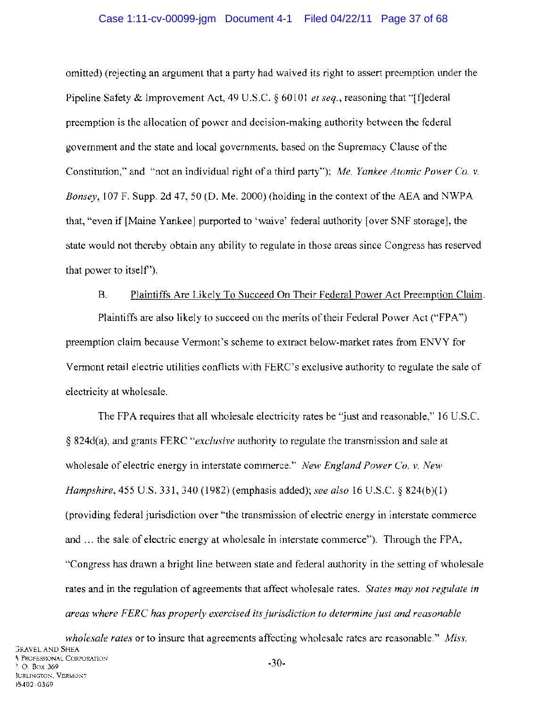#### Case 1:11-cv-00099-jgm Document 4-1 Filed 04/22/11 Page 37 of 68

omitted) (rejecting an argument that a party had waived its right to assert preemption under the Pipeline Safety & Improvement Act, 49 U.S.C. § 60101 *et seq.*, reasoning that "[f]ederal preemption is the allocation of power and decision-making authority between the federal government and the state and local governments, based on the Supremacy Clause of the Constitution," and "not an individual right of a third party"); *Me. Yankee Atomic Power Co.* v. *Bonsey,* 107 F. Supp. 2d 47,50 (D. Me. 2000) (holding in the context of the AEA and NWPA that, "even if [Maine Yankee] purported to 'waive' federal authority [over SNF storage], the state would not thereby obtain any ability to regulate in those areas since Congress has reserved that power to itself').

#### B. Plaintiffs Are Likely To Succeed On Their Federal Power Act Preemption Claim.

Plaintiffs are also likely to succeed on the merits of their Federal Power Act ("FPA") preemption claim because Vermont's scheme to extract below-market rates from ENVY for Vermont retail electric utilities conflicts with FERC's exclusive authority to regulate the sale of electricity at wholesale.

The FPA requires that all wholesale electricity rates be "just and reasonable," 16 U.S.C. § 824d(a), and grants FERC *"exclusive* authority to regulate the transmission and sale at wholesale of electric energy in interstate commerce." *New England Power Co.* v. *New Hampshire,* 455 U.S. 331, 340 (1982) (emphasis added); *see also* 16 U.S.C. § 824(b)(1) (providing federal jurisdiction over "the transmission of electric energy in interstate commerce and ... the sale of electric energy at wholesale in interstate commerce"). Through the FPA, "Congress has drawn a bright line between state and federal authority in the setting of wholesale rates and in the regulation of agreements that affect wholesale rates. *States may not regulate in areas where FERC has properly exercised its jurisdiction to determine just and reasonable* 

*wholesale rates* or to insure that agreements affecting wholesale rates are reasonable." *Miss.*  **GRAVEL AND SHEA** \. PROFESSIONAL CORPORATION '. O. Box 369 )URLINGTON. VERMONT )5402-0369 -30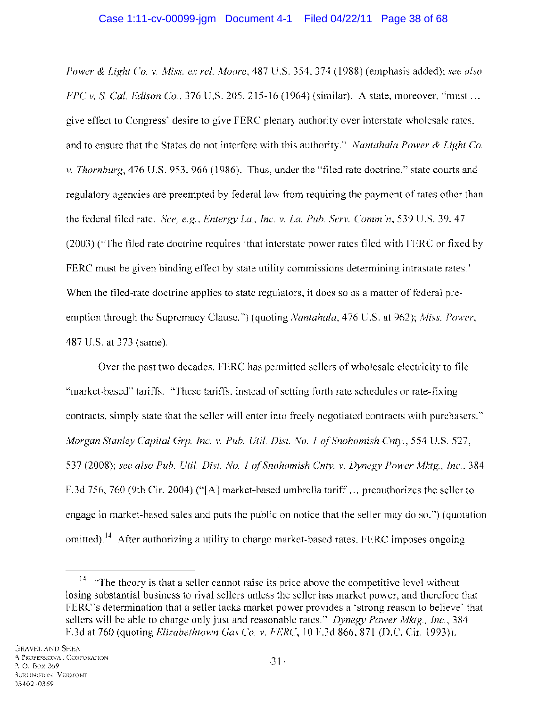*Power* & *Light Co.* v. *Miss. ex rei. Moore,* 487 U.S. 354,374 (1988) (emphasis added); *see also FPCv.* S. *Cal. Edison Co.,* 376 U.S. 205,215-16 (1964) (similar). A state, moreover, "must ... give effect to Congress' desire to give FERC plenary authority over interstate wholesale rates, and to ensure that the States do not interfere with this authority." *Nantahala Power* & *Light Co.*  v. *Thornburg,* 476 U.S. 953, 966 (1986). Thus, under the "filed rate doctrine," state courts and regulatory agencies are preempted by federal law from requiring the payment of rates other than the federal filed rate. *See, e.g., Entergy La., Inc. v. La. Pub. Serv. Comm'n,* 539 U.S. 39, 47 (2003) ("The filed rate doctrine requires 'that interstate power rates filed with FERC or fixed by FERC must be given binding effect by state utility commissions determining intrastate rates.' When the filed-rate doctrine applies to state regulators, it does so as a matter of federal preemption through the Supremacy Clause.") (quoting *Nantahala,* 476 U.S. at 962); *Miss. Power,*  487 U.S. at 373 (same).

Over the past two decades, FERC has permitted sellers of wholesale electricity to file "market-based" tariffs. "These tariffs, instead of setting forth rate schedules or rate-fixing contracts, simply state that the seller will enter into freely negotiated contracts with purchasers." *Morgan Stanley Capital Grp. Inc.* V. *Pub. Uti!. Dist. No.* J *of Snohomish Cnty.,* 554 U.S. 527, 537 (2008); *see also Pub. Uti!. Dist. No.* J *of Snohomish Cnty.* V. *Dynegy Power Mktg., Inc., 384*  F.3d 756, 760 (9th Cir. 2004) ("[A] market-based umbrella tariff ... preauthorizes the seller to engage in market-based sales and puts the public on notice that the seller may do so.") (quotation omitted).<sup>14</sup> After authorizing a utility to charge market-based rates, FERC imposes ongoing

 $14$  "The theory is that a seller cannot raise its price above the competitive level without losing substantial business to rival sellers unless the seller has market power, and therefore that FERC's determination that a seller lacks market power provides a 'strong reason to believe' that sellers will be able to charge only just and reasonable rates." *Dynegy Power Mktg., Inc., 384*  F.3d at 760 (quoting *Elizabethtown Gas CO.* V. *FERC,* 10 F.3d 866,871 (D.C. Cir. 1993)).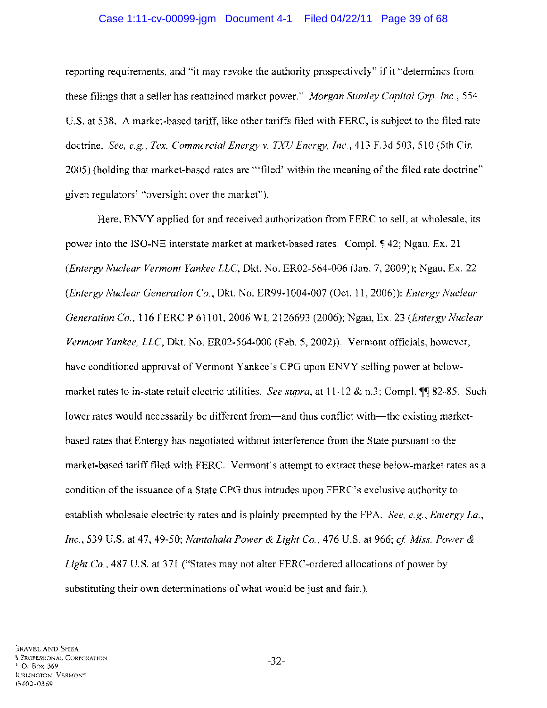#### Case 1:11-cv-00099-jgm Document 4-1 Filed 04/22/11 Page 39 of 68

reporting requirements, and "it may revoke the authority prospectively" if it "determines from these filings that a seller has reattained market power." *Morgan Stanley Capital Grp. Inc., 554*  U.S. at 538. A market-based tariff, like other tariffs filed with FERC, is subject to the filed rate doctrine. *See, e.g., Tex. Commercial Energy* v. *TXU Energy, Inc.,* 413 F.3d 503, 510 (5th Cir. 2005) (holding that market-based rates are '''filed' within the meaning of the filed rate doctrine" given regulators' "oversight over the market").

Here, ENVY applied for and received authorization from FERC to sell, at wholesale, its power into the ISO-NE interstate market at market-based rates. Compl.  $\sqrt{4}$  42; Ngau, Ex. 21 *(Entergy Nuclear Vermont Yankee LLC,* Dkt. No. ER02-564-006 (Jan. 7,2009)); Ngau, Ex. 22 *(Entergy Nuclear Generation Co.,* Dkt. No. ER99-1004-007 (Oct. 11,2006)); *Entergy Nuclear Generation Co.,* 116 FERC P 61101, 2006 WL 2126693 (2006); Ngau, Ex. 23 *(Entergy Nuclear Vermont Yankee, LLC,* Dkt. No. ER02-564-000 (Feb. 5,2002)). Vermont officials, however, have conditioned approval of Vermont Yankee's CPG upon ENVY selling power at belowmarket rates to in-state retail electric utilities. *See supra*, at 11-12 & n.3; Compl. ¶ 82-85. Such lower rates would necessarily be different from—and thus conflict with—the existing marketbased rates that Entergy has negotiated without interference from the State pursuant to the market-based tariff filed with FERC. Vermont's attempt to extract these below-market rates as a condition of the issuance of a State CPG thus intrudes upon FERC's exclusive authority to establish wholesale electricity rates and is plainly preempted by the FPA. *See, e.g., Entergy La.*, *Inc.,* 539 U.S. at 47,49-50; *Nantahala Power* & *Light Co.,* 476 U.S. at 966; *cf Miss. Power* & *Light Co.,* 487 U.S. at 371 ("States may not alter FERC-ordered allocations of power by substituting their own determinations of what would be just and fair.).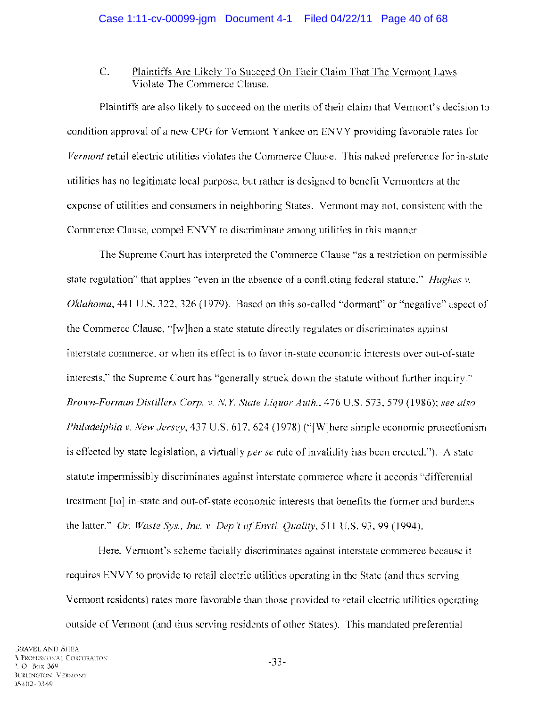## C. Plaintiffs Are Likely To Succeed On Their Claim That The Vermont Laws Violate The Commerce Clause.

Plaintiffs are also likely to succeed on the merits of their claim that Vermont's decision to condition approval of a new CPG for Vermont Yankee on ENVY providing favorable rates for *Vermont* retail electric utilities violates the Commerce Clause. This naked preference for in-state utilities has no legitimate local purpose, but rather is designed to benefit Vermonters at the expense of utilities and consumers in neighboring States. Vermont may not, consistent with the Commerce Clause, compel ENVY to discriminate among utilities in this manner.

The Supreme Court has interpreted the Commerce Clause "as a restriction on permissible state regulation" that applies "even in the absence of a conflicting federal statute." *Hughes* v. *Oklahoma,* 441 U.S. 322, 326 (1979). Based on this so-called "dormant" or "negative" aspect of the Commerce Clause, "[w]hen a state statute directly regulates or discriminates against interstate commerce, or when its effect is to favor in-state economic interests over out-of-state interests," the Supreme Court has "generally struck down the statute without further inquiry." *Brown-Forman Distillers Corp.* v. *NY. State Liquor Auth.,* 476 U.S. 573, 579 (1986); *see also Philadelphia* v. *New Jersey,* 437 U.S. 617, 624 (1978) ("[W]here simple economic protectionism is effected by state legislation, a virtually *per se* rule of invalidity has been erected. "). A state statute impermissibly discriminates against interstate commerce where it accords "differential treatment [to] in-state and out-of-state economic interests that benefits the former and burdens the latter." *Or. Waste Sys., Inc.* v. *Dep 't of Envtl. Quality,* 511 U.S. 93, 99 (1994).

Here, Vermont's scheme facially discriminates against interstate commerce because it requires ENVY to provide to retail electric utilities operating in the State (and thus serving Vermont residents) rates more favorable than those provided to retail electric utilities operating outside of Vermont (and thus serving residents of other States). This mandated preferential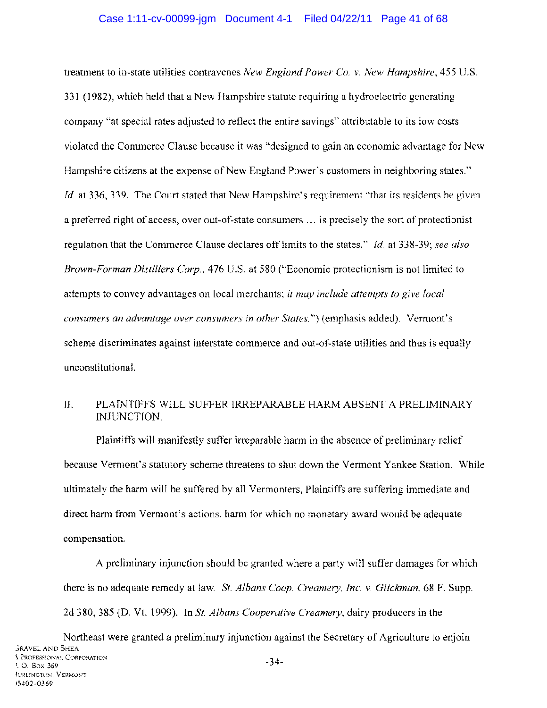treatment to in-state utilities contravenes *New England Power Co.* v. *New Hampshire,* 455 U.S. 331 (1982), which held that a New Hampshire statute requiring a hydroelectric generating company "at special rates adjusted to reflect the entire savings" attributable to its low costs violated the Commerce Clause because it was "designed to gain an economic advantage for New Hampshire citizens at the expense of New England Power's customers in neighboring states." *Id.* at 336, 339. The Court stated that New Hampshire's requirement "that its residents be given a preferred right of access, over out-of-state consumers ... is precisely the sort of protectionist regulation that the Commerce Clause declares off limits to the states." *Id.* at 338-39; *see also Brown-Forman Distillers Corp.,* 476 U.S. at 580 ("Economic protectionism is not limited to attempts to convey advantages on local merchants; *it may include attempts to give local consumers an advantage over consumers in other States.")* (emphasis added). Vermont's scheme discriminates against interstate commerce and out-of-state utilities and thus is equally unconstitutional.

## II. PLAINTIFFS WILL SUFFER IRREPARABLE HARM ABSENT A PRELIMINARY INJUNCTION.

Plaintiffs will manifestly suffer irreparable harm in the absence of preliminary relief because Vermont's statutory scheme threatens to shut down the Vermont Yankee Station. While ultimately the harm will be suffered by all Vermonters, Plaintiffs are suffering immediate and direct harm from Vermont's actions, harm for which no monetary award would be adequate compensation.

A preliminary injunction should be granted where a party will suffer damages for which there is no adequate remedy at law. *Sf. Albans Coop. Creamery, Inc.* v. *Glickman,* 68 F. Supp. 2d 380, 385 (D. Vt. 1999). In *St. Albans Cooperative Creamery,* dairy producers in the

Northeast were granted a preliminary injunction against the Secretary of Agriculture to enjoin **GRAVEL AND SHEA** \. PROFESSIONAL CORPORATION '. O. Box 369 IURLINGTON. VERMONT )5402-0369 -34-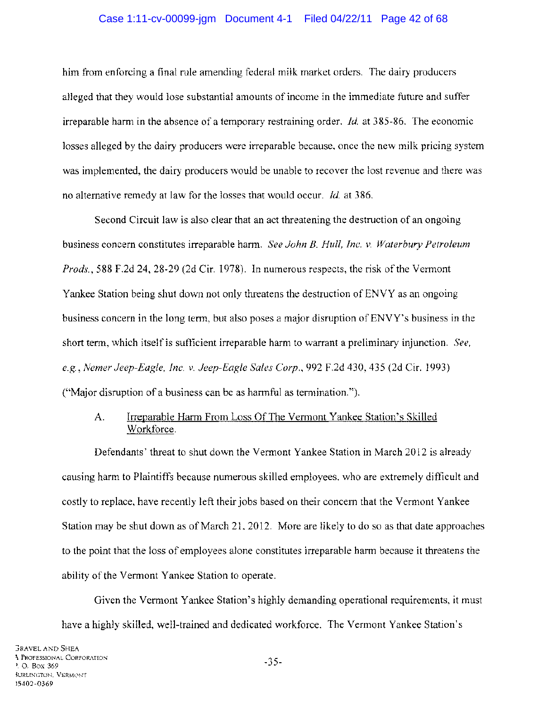## Case 1:11-cv-00099-jgm Document 4-1 Filed 04/22/11 Page 42 of 68

him from enforcing a final rule amending federal milk market orders. The dairy producers alleged that they would lose substantial amounts of income in the immediate future and suffer irreparable harm in the absence of a temporary restraining order. *Id.* at 385-86. The economic losses alleged by the dairy producers were irreparable because, once the new milk pricing system was implemented, the dairy producers would be unable to recover the lost revenue and there was no alternative remedy at law for the losses that would occur. *Id.* at 386.

Second Circuit law is also clear that an act threatening the destruction of an ongoing business concern constitutes irreparable harm. *See John* B. *Hull, Inc. v. Waterbury Petroleum Prods.,* 588 F.2d 24,28-29 (2d Cir. 1978). In numerous respects, the risk of the Vermont Yankee Station being shut down not only threatens the destruction of ENVY as an ongoing business concern in the long term, but also poses a major disruption of ENVY's business in the short term, which itself is sufficient irreparable harm to warrant a preliminary injunction. *See, e.g., Nemer Jeep-Eagle, Inc. v. Jeep-Eagle Sales Corp.,* 992 F.2d 430,435 (2d Cir. 1993) ("Major disruption of a business can be as harmful as termination.").

## A. Irreparable Harm From Loss Of The Vermont Yankee Station's Skilled Workforce.

Defendants' threat to shut down the Vermont Yankee Station in March 2012 is already causing harm to Plaintiffs because numerous skilled employees, who are extremely difficult and costly to replace, have recently left their jobs based on their concern that the Vermont Yankee Station may be shut down as of March 21,2012. More are likely to do so as that date approaches to the point that the loss of employees alone constitutes irreparable harm because it threatens the ability of the Vermont Yankee Station to operate.

Given the Vermont Yankee Station's highly demanding operational requirements, it must have a highly skilled, well-trained and dedicated workforce. The Vermont Yankee Station's

-35-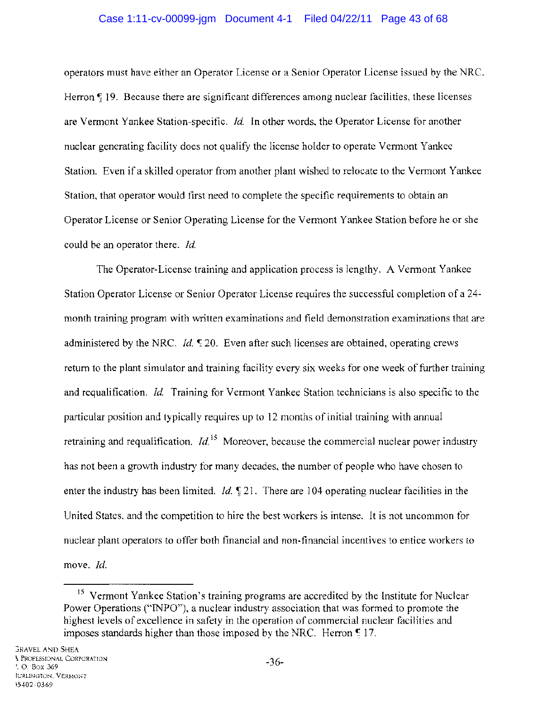### Case 1:11-cv-00099-jgm Document 4-1 Filed 04/22/11 Page 43 of 68

operators must have either an Operator License or a Senior Operator License issued by the NRC. Herron  $\mathbb{F}$  19. Because there are significant differences among nuclear facilities, these licenses are Vermont Yankee Station-specific. *Id.* In other words, the Operator License for another nuclear generating facility does not qualify the license holder to operate Vermont Yankee Station. Even if a skilled operator from another plant wished to relocate to the Vermont Yankee Station, that operator would first need to complete the specific requirements to obtain an Operator License or Senior Operating License for the Vermont Yankee Station before he or she could be an operator there. *Id.* 

The Operator-License training and application process is lengthy. A Vermont Yankee Station Operator License or Senior Operator License requires the successful completion of a 24 month training program with written examinations and field demonstration examinations that are administered by the NRC. *Id.*  $\sqrt{20}$ . Even after such licenses are obtained, operating crews return to the plant simulator and training facility every six weeks for one week of further training and requalification. *Id.* Training for Vermont Yankee Station technicians is also specific to the particular position and typically requires up to 12 months of initial training with annual retraining and requalification.  $Id<sup>15</sup>$  Moreover, because the commercial nuclear power industry has not been a growth industry for many decades, the number of people who have chosen to enter the industry has been limited. *Id.*  $\frac{1}{2}$  21. There are 104 operating nuclear facilities in the United States, and the competition to hire the best workers is intense. It is not uncommon for nuclear plant operators to offer both financial and non-financial incentives to entice workers to move. *Id.* 

<sup>&</sup>lt;sup>15</sup> Vermont Yankee Station's training programs are accredited by the Institute for Nuclear Power Operations ("INPO"), a nuclear industry association that was formed to promote the highest levels of excellence in safety in the operation of commercial nuclear facilities and imposes standards higher than those imposed by the NRC. Herron  $\epsilon$  17.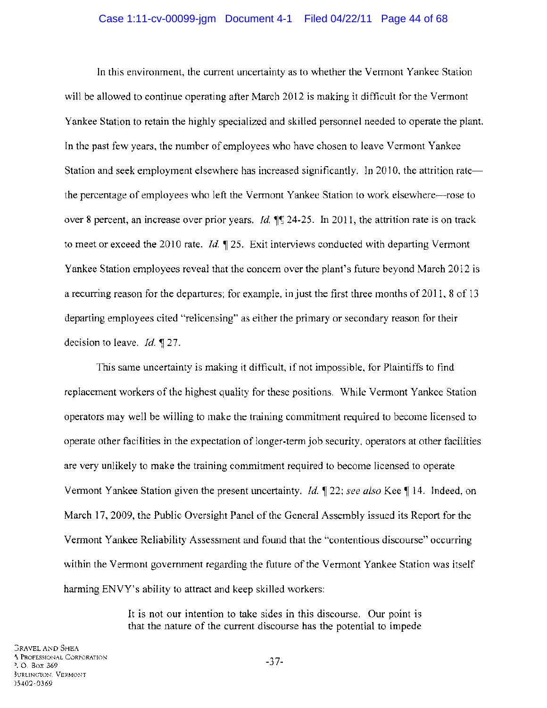In this environment, the current uncertainty as to whether the Vermont Yankee Station will be allowed to continue operating after March 2012 is making it difficult for the Vermont Yankee Station to retain the highly specialized and skilled personnel needed to operate the plant. In the past few years, the number of employees who have chosen to leave Vermont Yankee Station and seek employment elsewhere has increased significantly. In 2010, the attrition rate the percentage of employees who left the Vermont Yankee Station to work elsewhere-rose to over 8 percent, an increase over prior years. *Id.*  $\frac{4}{3}$  24-25. In 2011, the attrition rate is on track to meet or exceed the 2010 rate. *Id.*  $\mathbb{I}$  25. Exit interviews conducted with departing Vermont Yankee Station employees reveal that the concern over the plant's future beyond March 2012 is a recurring reason for the departures; for example, in just the first three months of 2011, 8 of 13 departing employees cited "relicensing" as either the primary or secondary reason for their decision to leave. *Id.* 127.

This same uncertainty is making it difficult, if not impossible, for Plaintiffs to find replacement workers of the highest quality for these positions. While Vermont Yankee Station operators may well be willing to make the training commitment required to become licensed to operate other facilities in the expectation of longer-term job security, operators at other facilities are very unlikely to make the training commitment required to become licensed to operate Vermont Yankee Station given the present uncertainty. *Id.* 122; *see also* Kee 14. Indeed, on March 17,2009, the Public Oversight Panel of the General Assembly issued its Report for the Vermont Yankee Reliability Assessment and found that the "contentious discourse" occurring within the Vermont government regarding the future of the Vermont Yankee Station was itself harming ENVY's ability to attract and keep skilled workers:

> It is not our intention to take sides in this discourse. Our point is that the nature of the current discourse has the potential to impede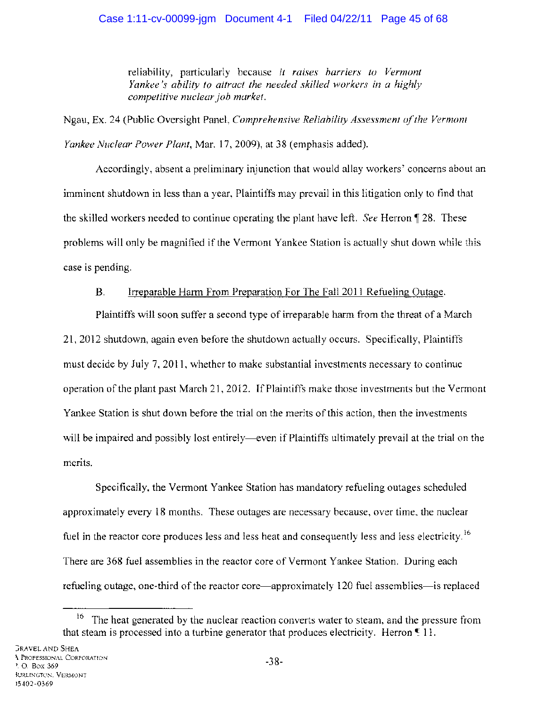## Case 1:11-cv-00099-jgm Document 4-1 Filed 04/22/11 Page 45 of 68

reliability, particularly because it *raises barriers to Vermont Yankee's ability to attract the needed skilled workers in a highly competitive nuclear job market.* 

Ngau, Ex. 24 (Public Oversight Panel, *Comprehensive Reliability Assessment o/the Vermont Yankee Nuclear Power Plant,* Mar. 17,2009), at 38 (emphasis added).

Accordingly, absent a preliminary injunction that would allay workers' concerns about an imminent shutdown in less than a year, Plaintiffs may prevail in this litigation only to find that the skilled workers needed to continue operating the plant have left. *See* Herron  $\sqrt{28}$ . These problems will only be magnified if the Vermont Yankee Station is actually shut down while this case is pending.

## B. Irreparable Harm From Preparation For The Fall 2011 Refueling Outage.

Plaintiffs will soon suffer a second type of irreparable harm from the threat of a March 21,2012 shutdown, again even before the shutdown actually occurs. Specifically, Plaintiffs must decide by July 7, 2011, whether to make substantial investments necessary to continue operation of the plant past March 21, 2012. If Plaintiffs make those investments but the Vermont Yankee Station is shut down before the trial on the merits of this action, then the investments will be impaired and possibly lost entirely—even if Plaintiffs ultimately prevail at the trial on the merits.

Specifically, the Vermont Yankee Station has mandatory refueling outages scheduled approximately every 18 months. These outages are necessary because, over time, the nuclear fuel in the reactor core produces less and less heat and consequently less and less electricity.<sup>16</sup> There are 368 fuel assemblies in the reactor core of Vermont Yankee Station. During each refueling outage, one-third of the reactor core—approximately 120 fuel assemblies—is replaced

 $16$  The heat generated by the nuclear reaction converts water to steam, and the pressure from that steam is processed into a turbine generator that produces electricity. Herron  $\epsilon$  11.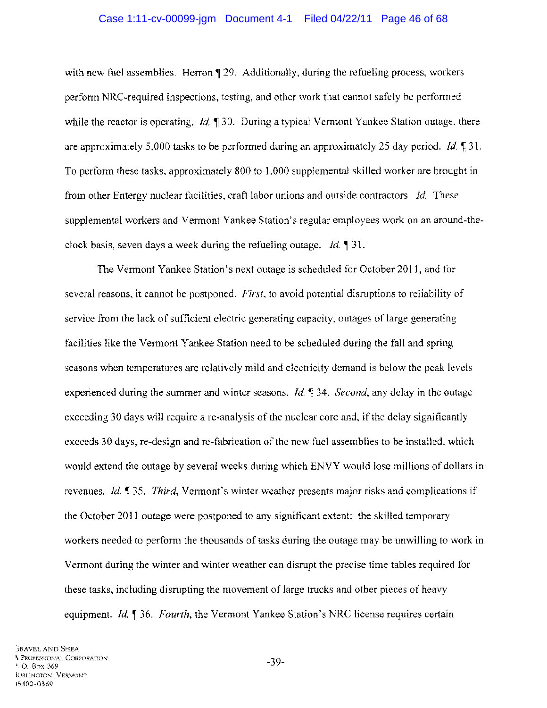#### Case 1:11-cv-00099-jgm Document 4-1 Filed 04/22/11 Page 46 of 68

with new fuel assemblies. Herron  $\P$  29. Additionally, during the refueling process, workers perform NRC-required inspections, testing, and other work that cannot safely be performed while the reactor is operating. *Id.* 130. During a typical Vermont Yankee Station outage, there are approximately 5,000 tasks to be performed during an approximately 25 day period. *Id.*  $\frac{1}{2}$  31. To perform these tasks, approximately 800 to 1,000 supplemental skilled worker are brought in from other Entergy nuclear facilities, craft labor unions and outside contractors. *Id.* These supplemental workers and Vermont Yankee Station's regular employees work on an around-theclock basis, seven days a week during the refueling outage. *Id.* 131.

The Vermont Yankee Station's next outage is scheduled for October 2011, and for several reasons, it cannot be postponed. *First,* to avoid potential disruptions to reliability of service from the lack of sufficient electric generating capacity, outages of large generating facilities like the Vermont Yankee Station need to be scheduled during the fall and spring seasons when temperatures are relatively mild and electricity demand is below the peak levels experienced during the summer and winter seasons. *Id.* **54.** *Second*, any delay in the outage exceeding 30 days will require a re-analysis of the nuclear core and, if the delay significantly exceeds 30 days, re-design and re-fabrication of the new fuel assemblies to be installed, which would extend the outage by several weeks during which ENVY would lose millions of dollars in revenues. *Id.* <sup> $\text{q}$ </sup> 35. *Third*, Vermont's winter weather presents major risks and complications if the October 2011 outage were postponed to any significant extent: the skilled temporary workers needed to perform the thousands of tasks during the outage may be unwilling to work in Vermont during the winter and winter weather can disrupt the precise time tables required for these tasks, including disrupting the movement of large trucks and other pieces of heavy equipment. *Id.* 136. *Fourth*, the Vermont Yankee Station's NRC license requires certain

-39-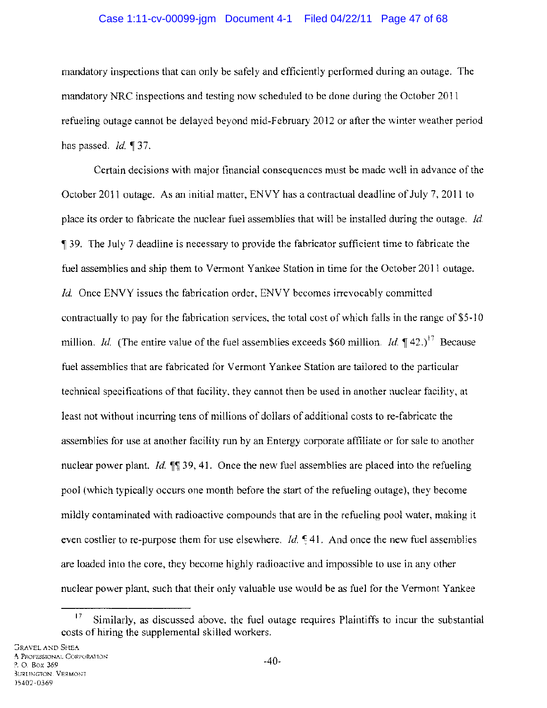### Case 1:11-cv-00099-jgm Document 4-1 Filed 04/22/11 Page 47 of 68

mandatory inspections that can only be safely and efficiently performed during an outage. The mandatory NRC inspections and testing now scheduled to be done during the October 2011 refueling outage cannot be delayed beyond mid-February 2012 or after the winter weather period has passed. *Id.* 137.

Certain decisions with major financial consequences must be made well in advance of the October 2011 outage. As an initial matter, ENVY has a contractual deadline of July 7, 2011 to place its order to fabricate the nuclear fuel assemblies that will be installed during the outage. *Id.*  <sup>~</sup>39. The July 7 deadline is necessary to provide the fabricator sufficient time to fabricate the fuel assemblies and ship them to Vermont Yankee Station in time for the October 2011 outage. *Id.* Once ENVY issues the fabrication order, ENVY becomes irrevocably committed contractually to pay for the fabrication services, the total cost of which falls in the range of \$5-10 million. *Id.* (The entire value of the fuel assemblies exceeds \$60 million. *Id.*  $\mathbb{I}$  42.)<sup>17</sup> Because fuel assemblies that are fabricated for Vermont Yankee Station are tailored to the particular technical specifications of that facility, they cannot then be used in another nuclear facility, at least not without incurring tens of millions of dollars of additional costs to re-fabricate the assemblies for use at another facility run by an Entergy corporate affiliate or for sale to another nuclear power plant. *Id.*  $\mathbb{I}$  19, 41. Once the new fuel assemblies are placed into the refueling pool (which typically occurs one month before the start of the refueling outage), they become mildly contaminated with radioactive compounds that are in the refueling pool water, making it even costlier to re-purpose them for use elsewhere. *Id.*  $\leq 41$ . And once the new fuel assemblies are loaded into the core, they become highly radioactive and impossible to use in any other nuclear power plant, such that their only valuable use would be as fuel for the Vermont Yankee

 $17$  Similarly, as discussed above, the fuel outage requires Plaintiffs to incur the substantial costs of hiring the supplemental skilled workers.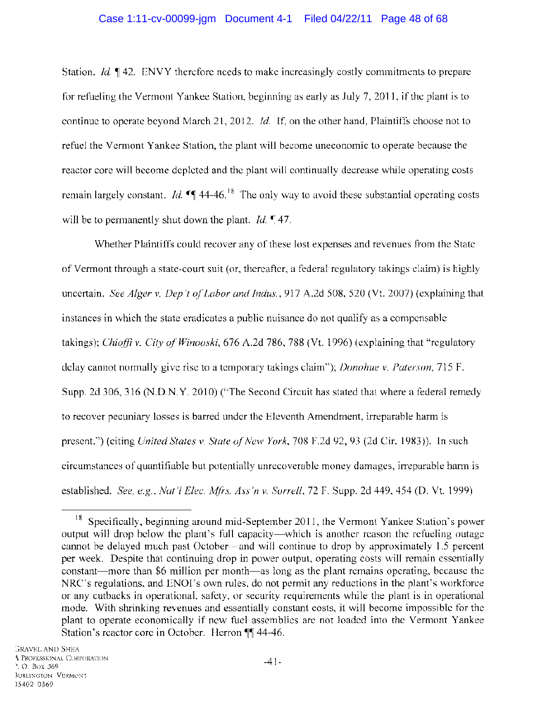### Case 1:11-cv-00099-jgm Document 4-1 Filed 04/22/11 Page 48 of 68

Station. *Id.*  $\parallel$  42. ENVY therefore needs to make increasingly costly commitments to prepare for refueling the Vermont Yankee Station, beginning as early as July 7, 2011, if the plant is to continue to operate beyond March 21, 2012. *Id.* If, on the other hand, Plaintiffs choose not to refuel the Vermont Yankee Station, the plant will become uneconomic to operate because the reactor core will become depleted and the plant will continually decrease while operating costs remain largely constant. *Id.*  $\sqrt{44.46}$ <sup>18</sup> The only way to avoid these substantial operating costs will be to permanently shut down the plant. *Id.*  $\sqrt{47}$ .

Whether Plaintiffs could recover any of these lost expenses and revenues from the State of Vermont through a state-court suit (or, thereafter, a federal regulatory takings claim) is highly uncertain. *See Alger* v. *Dep 't of Labor and Indus.,* 917 A.2d 508, 520 (Vt. 2007) (explaining that instances in which the state eradicates a public nuisance do not qualify as a compensable takings); *Chioffi* v. *City of Winooski,* 676 A.2d 786, 788 (Vt. 1996) (explaining that "regulatory delay cannot normally give rise to a temporary takings claim"); *Donohue* v. *Paterson,* 715 F. Supp. 2d 306, 316 (N.D.N.Y. 2010) ("The Second Circuit has stated that where a federal remedy to recover pecuniary losses is barred under the Eleventh Amendment, irreparable harm is present.") (citing *United States* v. *State of New York,* 708 F.2d 92, 93 (2d Cir. 1983». In such circumstances of quantifiable but potentially unrecoverable money damages, irreparable harm is established. *See, e.g., Nat* 'I *Elee. Mfrs. Ass'n* v. *Sorrell,* 72 F. Supp. 2d 449,454 (D. Vt. 1999)

<sup>&</sup>lt;sup>18</sup> Specifically, beginning around mid-September 2011, the Vermont Yankee Station's power output will drop below the plant's full capacity-which is another reason the refueling outage cannot be delayed much past October-and will continue to drop by approximately 1.5 percent per week. Despite that continuing drop in power output, operating costs will remain essentially constant—more than \$6 million per month—as long as the plant remains operating, because the NRC's regulations, and ENOl's own rules, do not permit any reductions in the plant's workforce or any cutbacks in operational, safety, or security requirements while the plant is in operational mode. With shrinking revenues and essentially constant costs, it will become impossible for the plant to operate economically if new fuel assemblies are not loaded into the Vermont Yankee Station's reactor core in October. Herron  $\P$  44-46.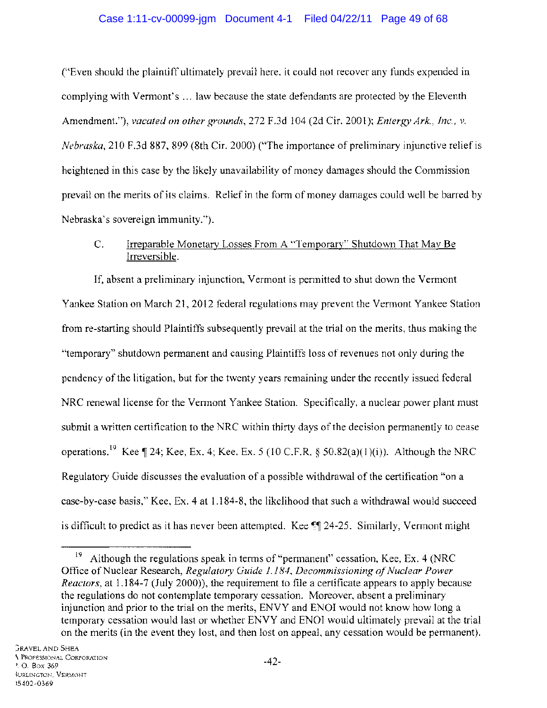## Case 1:11-cv-00099-jgm Document 4-1 Filed 04/22/11 Page 49 of 68

("Even should the plaintiff ultimately prevail here, it could not recover any funds expended in complying with Vermont's ... law because the state defendants are protected by the Eleventh Amendment."), *vacated on other grounds,* 272 F.3d 104 (2d Cir. 2001); *Entergy Ark., Inc.,* v. *Nebraska,* 210 F.3d 887, 899 (8th Cir. 2000) ("The importance of preliminary injunctive relief is heightened in this case by the likely unavailability of money damages should the Commission prevail on the merits of its claims. Relief in the form of money damages could well be barred by Nebraska's sovereign immunity.").

## C. Irreparable Monetary Losses From A "Temporary" Shutdown That May Be Irreversible.

If, absent a preliminary injunction, Vermont is permitted to shut down the Vermont Yankee Station on March 21, 2012 federal regulations may prevent the Vermont Yankee Station from re-starting should Plaintiffs subsequently prevail at the trial on the merits, thus making the "temporary" shutdown permanent and causing Plaintiffs loss of revenues not only during the pendency of the litigation, but for the twenty years remaining under the recently issued federal NRC renewal license for the Vermont Yankee Station. Specifically, a nuclear power plant must submit a written certification to the NRC within thirty days of the decision permanently to cease operations.<sup>19</sup> Kee  $\P$  24; Kee, Ex. 4; Kee, Ex. 5 (10 C.F.R. § 50.82(a)(1)(i)). Although the NRC Regulatory Guide discusses the evaluation of a possible withdrawal of the certification "on a case-by-case basis," Kee, Ex. 4 at 1.184-8, the likelihood that such a withdrawal would succeed is difficult to predict as it has never been attempted. Kee  $\mathbb{H}$  24-25. Similarly, Vermont might

<sup>&</sup>lt;sup>19</sup> Although the regulations speak in terms of "permanent" cessation, Kee, Ex. 4 (NRC) Office of Nuclear Research, *Regulatory Guide* 1.184, *Decommissioning of Nuclear Power Reactors,* at 1.184-7 (July 2000)), the requirement to file a certificate appears to apply because the regulations do not contemplate temporary cessation. Moreover, absent a preliminary injunction and prior to the trial on the merits, ENVY and ENOl would not know how long a temporary cessation would last or whether ENVY and ENOl would ultimately prevail at the trial on the merits (in the event they lost, and then lost on appeal, any cessation would be permanent).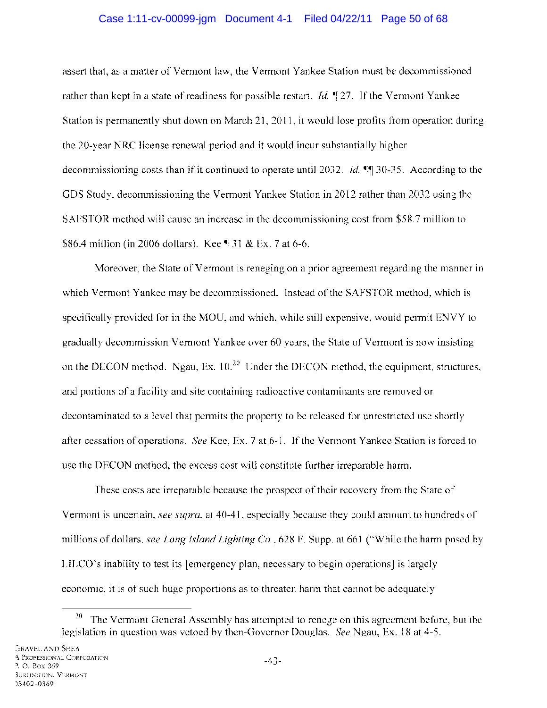### Case 1:11-cv-00099-jgm Document 4-1 Filed 04/22/11 Page 50 of 68

assert that, as a matter of Vermont law, the Vermont Yankee Station must be decommissioned rather than kept in a state of readiness for possible restart. *Id.*  $\parallel$  27. If the Vermont Yankee Station is permanently shut down on March 21, 2011, it would lose profits from operation during the 20-year NRC license renewal period and it would incur substantially higher decommissioning costs than if it continued to operate until 2032. *Id.* <sup>o</sup> 30-35. According to the GDS Study, decommissioning the Vermont Yankee Station in 2012 rather than 2032 using the SAFSTOR method will cause an increase in the decommissioning cost from \$58.7 million to \$86.4 million (in 2006 dollars). Kee § 31 & Ex. 7 at 6-6.

Moreover, the State of Vermont is reneging on a prior agreement regarding the manner in which Vermont Yankee may be decommissioned. Instead of the SAFSTOR method, which is specifically provided for in the MOU, and which, while still expensive, would permit ENVY to gradually decommission Vermont Yankee over 60 years, the State of Vermont is now insisting on the DECON method. Ngau, Ex.  $10^{20}$  Under the DECON method, the equipment, structures, and portions of a facility and site containing radioactive contaminants are removed or decontaminated to a level that permits the property to be released for unrestricted use shortly after cessation of operations. *See* Kee, Ex. 7 at 6-1. If the Vermont Yankee Station is forced to use the DECON method, the excess cost will constitute further irreparable harm.

These costs are irreparable because the prospect of their recovery from the State of Vermont is uncertain, *see supra,* at 40-41, especially because they could amount to hundreds of millions of dollars, *see Long Island Lighting Co.,* 628 F. Supp. at 661 ("While the harm posed by LILCO's inability to test its [emergency plan, necessary to begin operations] is largely economic, it is of such huge proportions as to threaten harm that cannot be adequately

 $20$  The Vermont General Assembly has attempted to renege on this agreement before, but the legislation in question was vetoed by then-Governor Douglas. *See* Ngau, Ex. 18 at 4-5.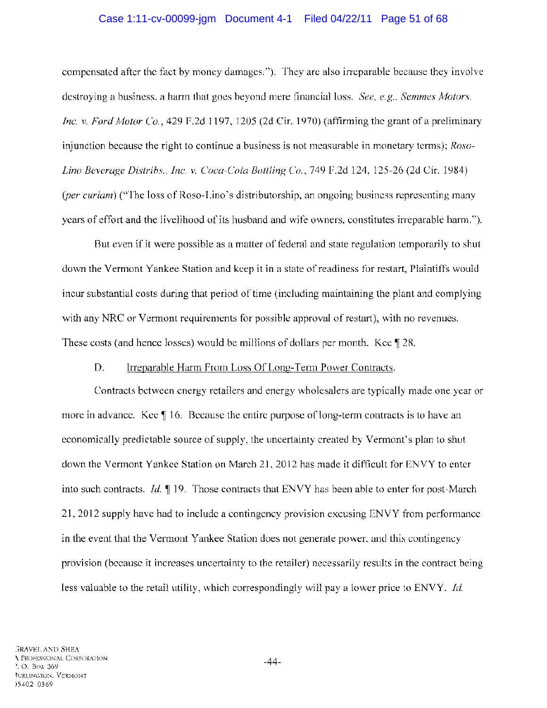### Case 1:11-cv-00099-jgm Document 4-1 Filed 04/22/11 Page 51 of 68

compensated after the fact by money damages."). They are also irreparable because they involve destroying a business, a harm that goes beyond mere financial loss. *See, e.g., Semmes Motors, Inc.* v. *Ford Motor Co.,* 429 F.2d 1197, 1205 (2d Cir. 1970) (affirming the grant of a preliminary injunction because the right to continue a business is not measurable in monetary terms); *Roso-Lino Beverage Distribs., Inc.* v. *Coca-Cola Bottling Co.,* 749 F.2d 124, 125-26 (2d Cir. 1984) *(per curiam)* ("The loss of Roso-Lino's distributorship, an ongoing business representing many years of effort and the livelihood of its husband and wife owners, constitutes irreparable harm.").

But even if it were possible as a matter of federal and state regulation temporarily to shut down the Vermont Yankee Station and keep it in a state of readiness for restart, Plaintiffs would incur substantial costs during that period of time (including maintaining the plant and complying with any NRC or Vermont requirements for possible approval of restart), with no revenues. These costs (and hence losses) would be millions of dollars per month. Kee  $\sqrt{28}$ .

### D. Irreparable Harm From Loss Of Long-Term Power Contracts.

Contracts between energy retailers and energy wholesalers are typically made one year or more in advance. Kee  $\llbracket$  16. Because the entire purpose of long-term contracts is to have an economically predictable source of supply, the uncertainty created by Vermont's plan to shut down the Vermont Yankee Station on March 21,2012 has made it difficult for ENVY to enter into such contracts. *Id.*  $\parallel$  19. Those contracts that ENVY has been able to enter for post-March 21, 2012 supply have had to include a contingency provision excusing ENVY from performance in the event that the Vermont Yankee Station does not generate power, and this contingency provision (because it increases uncertainty to the retailer) necessarily results in the contract being less valuable to the retail utility, which correspondingly will pay a lower price to ENVY. *Id.*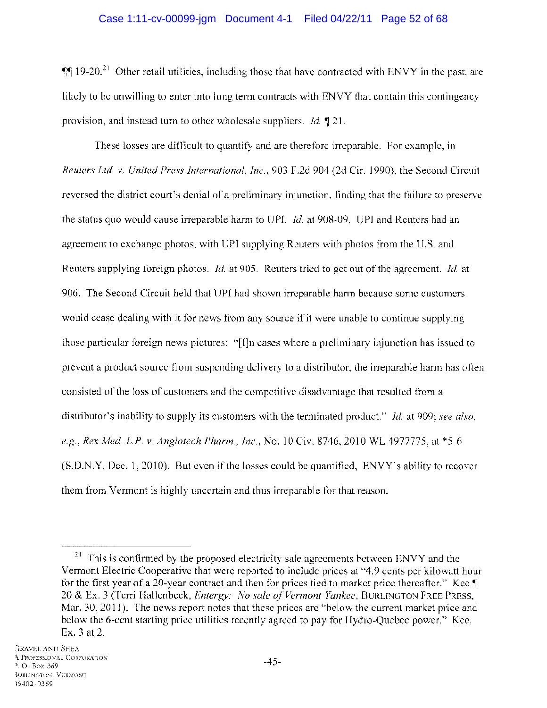$~$  19-20.<sup>21</sup> Other retail utilities, including those that have contracted with ENVY in the past, are likely to be unwilling to enter into long term contracts with ENVY that contain this contingency provision, and instead turn to other wholesale suppliers. *Id.* 121.

These losses are difficult to quantify and are therefore irreparable. For example, in *Reuters Ltd.* v. *United Press International, Inc.,* 903 F.2d 904 (2d Cir. 1990), the Second Circuit reversed the district court's denial of a preliminary injunction, finding that the failure to preserve the status quo would cause irreparable harm to UPI. *Id.* at 908-09. UPI and Reuters had an agreement to exchange photos, with UPI supplying Reuters with photos from the U.S. and Reuters supplying foreign photos. *Id.* at 905. Reuters tried to get out of the agreement. *Id.* at 906. The Second Circuit held that UPI had shown irreparable harm because some customers would cease dealing with it for news from any source if it were unable to continue supplying those particular foreign news pictures: "[I]n cases where a preliminary injunction has issued to prevent a product source from suspending delivery to a distributor, the irreparable harm has often consisted of the loss of customers and the competitive disadvantage that resulted from a distributor's inability to supply its customers with the terminated product." *Id.* at 909; *see also, e.g., Rex Med. L.P.* v. *Angiotech Pharm., Inc.,* No. 10 Civ. 8746,2010 WL 4977775, at \*5-6 (S.D.N.Y. Dec. 1,2010). But even if the losses could be quantified, ENVY's ability to recover them from Vermont is highly uncertain and thus irreparable for that reason.

<sup>&</sup>lt;sup>21</sup> This is confirmed by the proposed electricity sale agreements between ENVY and the Vermont Electric Cooperative that were reported to include prices at "4.9 cents per kilowatt hour for the first year of a 20-year contract and then for prices tied to market price thereafter." Kee  $\P$ 20 & Ex. 3 (Terri Hallenbeck, *Entergy: No sale of Vermont Yankee*, BURLINGTON FREE PRESS, Mar. 30, 2011). The news report notes that these prices are "below the current market price and below the 6-cent starting price utilities recently agreed to pay for Hydro-Quebec power." Kee, Ex. 3 at 2.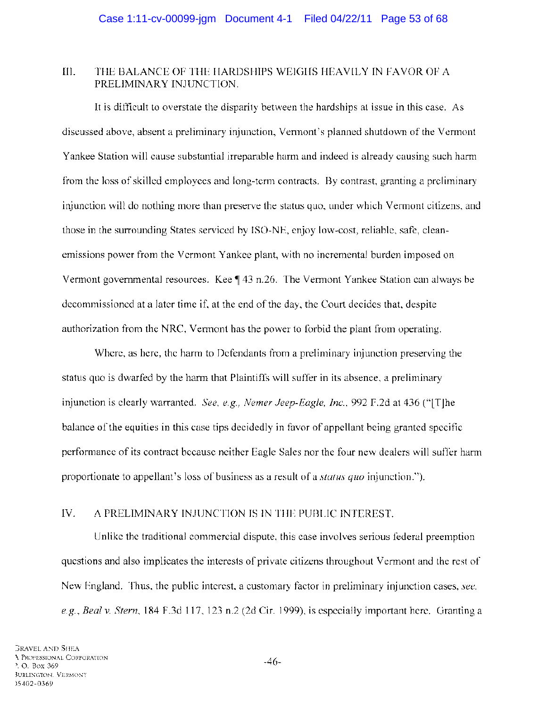### III. THE BALANCE OF THE HARDSHIPS WEIGHS HEAVILY IN FAVOR OF A PRELIMINARY INJUNCTION.

It is difficult to overstate the disparity between the hardships at issue in this case. As discussed above, absent a preliminary injunction, Vermont's planned shutdown of the Vermont Yankee Station will cause substantial irreparable harm and indeed is already causing such harm from the loss of skilled employees and long-term contracts. By contrast, granting a preliminary injunction will do nothing more than preserve the status quo, under which Vermont citizens, and those in the surrounding States serviced by ISO-NE, enjoy low-cost, reliable, safe, cleanemissions power from the Vermont Yankee plant, with no incremental burden imposed on Vermont governmental resources. Kee  $\P$  43 n.26. The Vermont Yankee Station can always be decommissioned at a later time if, at the end of the day, the Court decides that, despite authorization from the NRC, Vermont has the power to forbid the plant from operating.

Where, as here, the harm to Defendants from a preliminary injunction preserving the status quo is dwarfed by the harm that Plaintiffs will suffer in its absence, a preliminary injunction is clearly warranted. *See, e.g., Nemer Jeep-Eagle, Inc.,* 992 F.2d at 436 ("[T]he balance of the equities in this case tips decidedly in favor of appellant being granted specific performance of its contract because neither Eagle Sales nor the four new dealers will suffer harm proportionate to appellant's loss of business as a result of a *status quo* injunction.").

## IV. A PRELIMINARY INJUNCTION IS IN THE PUBLIC INTEREST.

Unlike the traditional commercial dispute, this case involves serious federal preemption questions and also implicates the interests of private citizens throughout Vermont and the rest of New England. Thus, the public interest, a customary factor in preliminary injunction cases, *see, e.g., Beal* v. *Stern,* 184 F.3d 117, 123 n.2 (2d Cir. 1999), is especially important here. Granting a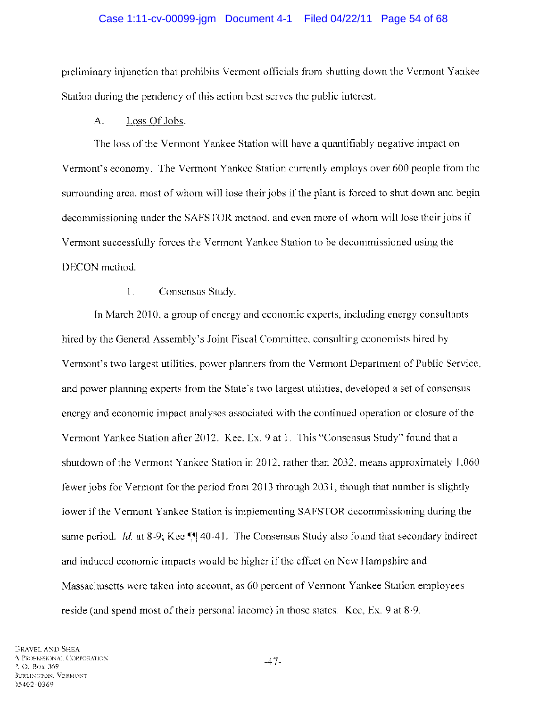#### Case 1:11-cv-00099-jgm Document 4-1 Filed 04/22/11 Page 54 of 68

preliminary injunction that prohibits Vermont officials from shutting down the Vermont Yankee Station during the pendency of this action best serves the public interest.

#### A. Loss Of Jobs.

The loss of the Vermont Yankee Station will have a quantifiably negative impact on Vermont's economy. The Vermont Yankee Station currently employs over 600 people from the surrounding area, most of whom will lose their jobs if the plant is forced to shut down and begin decommissioning under the SAFSTOR method, and even more of whom will lose their jobs if Vermont successfully forces the Vermont Yankee Station to be decommissioned using the DECON method.

#### 1. Consensus Study.

In March 2010, a group of energy and economic experts, including energy consultants hired by the General Assembly's Joint Fiscal Committee, consulting economists hired by Vermont's two largest utilities, power planners from the Vermont Department of Public Service, and power planning experts from the State's two largest utilities, developed a set of consensus energy and economic impact analyses associated with the continued operation or closure of the Vermont Yankee Station after 2012. Kee, Ex. 9 at 1. This "Consensus Study" found that a shutdown of the Vermont Yankee Station in 2012, rather than 2032, means approximately 1,060 fewer jobs for Vermont for the period from 2013 through 2031, though that number is slightly lower if the Vermont Yankee Station is implementing SAFSTOR decommissioning during the same period. *Id.* at 8-9; Kee  $\P$  40-41. The Consensus Study also found that secondary indirect and induced economic impacts would be higher if the effect on New Hampshire and Massachusetts were taken into account, as 60 percent of Vermont Yankee Station employees reside (and spend most of their personal income) in those states. Kee, Ex. 9 at 8-9.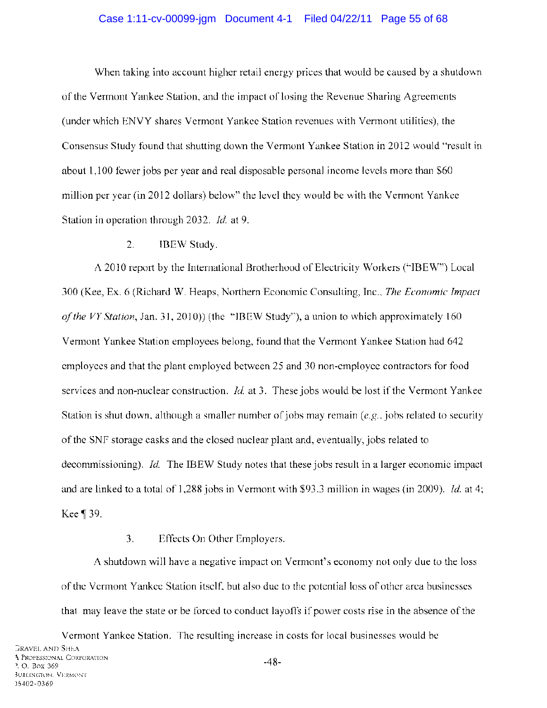#### Case 1:11-cv-00099-jgm Document 4-1 Filed 04/22/11 Page 55 of 68

When taking into account higher retail energy prices that would be caused by a shutdown of the Vermont Yankee Station, and the impact of losing the Revenue Sharing Agreements (under which ENVY shares Vermont Yankee Station revenues with Vermont utilities), the Consensus Study found that shutting down the Vermont Yankee Station in 2012 would "result in about 1,100 fewer jobs per year and real disposable personal income levels more than \$60 million per year (in 2012 dollars) below" the level they would be with the Vermont Yankee Station in operation through 2032. *Id.* at 9.

#### 2. IBEW Study.

A 2010 report by the International Brotherhood of Electricity Workers ("IBEW") Local 300 (Kee, Ex. 6 (Richard W. Heaps, Northern Economic Consulting, Inc., *The Economic Impact of the VY Station,* Jan. 31, 2010) ) (the "IBEW Study"), a union to which approximately 160 Vermont Yankee Station employees belong, found that the Vermont Yankee Station had 642 employees and that the plant employed between 25 and 30 non-employee contractors for food services and non-nuclear construction. *Id.* at 3. These jobs would be lost if the Vermont Yankee Station is shut down, although a smaller number of jobs may remain  $(e.g., jobs$  related to security of the SNF storage casks and the closed nuclear plant and, eventually, jobs related to decommissioning). *Id.* The IBEW Study notes that these jobs result in a larger economic impact and are linked to a total of 1,288 jobs in Vermont with \$93.3 million in wages (in 2009). *Id.* at 4; Kee ¶ 39.

### 3. Effects On Other Employers.

A shutdown will have a negative impact on Vermont's economy not only due to the loss of the Vermont Yankee Station itself, but also due to the potential loss of other area businesses that may leave the state or be forced to conduct layoffs if power costs rise in the absence of the

Vermont Yankee Station. The resulting increase in costs for local businesses would be **GRAVEL AND SHEA I** PROFESSIONAL CORPORATION ). O. Box 369 -48-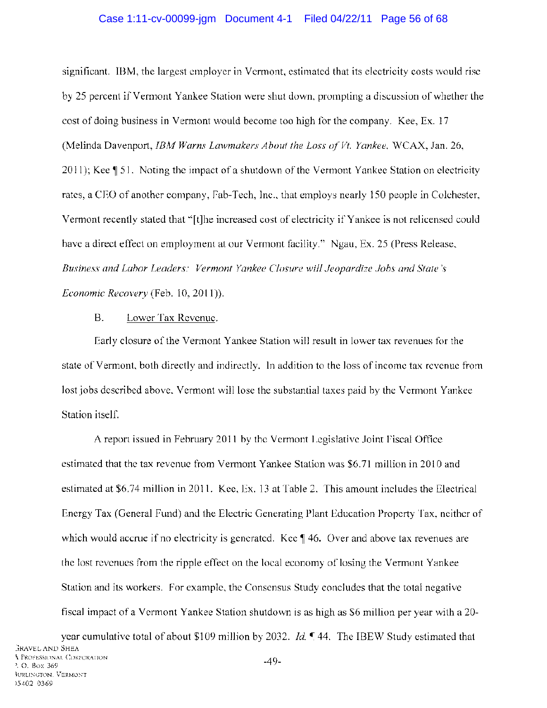#### Case 1:11-cv-00099-jgm Document 4-1 Filed 04/22/11 Page 56 of 68

significant. IBM, the largest employer in Vermont, estimated that its electricity costs would rise by 25 percent if Vermont Yankee Station were shut down, prompting a discussion of whether the cost of doing business in Vermont would become too high for the company. Kee, Ex. 17 (Melinda Davenport, *IBM Warns Lawmakers About the Loss ofVt. Yankee,* WCAX, Jan. 26, 2011); Kee  $\parallel$  51. Noting the impact of a shutdown of the Vermont Yankee Station on electricity rates, a CEO of another company, Fab-Tech, Inc., that employs nearly 150 people in Colchester, Vermont recently stated that "[t]he increased cost of electricity if Yankee is not relicensed could have a direct effect on employment at our Vermont facility." Ngau, Ex. 25 (Press Release, *Business and Labor Leaders: Vermont Yankee Closure will Jeopardize Jobs and State's Economic Recovery* (Feb. 10,2011)).

#### B. Lower Tax Revenue.

Early closure of the Vermont Yankee Station will result in lower tax revenues for the state of Vermont, both directly and indirectly. In addition to the loss of income tax revenue from lost jobs described above, Vermont will lose the substantial taxes paid by the Vermont Yankee Station itself.

A report issued in February 2011 by the Vermont Legislative Joint Fiscal Office estimated that the tax revenue from Vermont Yankee Station was \$6.71 million in 2010 and estimated at \$6.74 million in 2011. Kee, Ex. 13 at Table 2. This amount includes the Electrical Energy Tax (General Fund) and the Electric Generating Plant Education Property Tax, neither of which would accrue if no electricity is generated. Kee  $\parallel$  46. Over and above tax revenues are the lost revenues from the ripple effect on the local economy of losing the Vermont Yankee Station and its workers. For example, the Consensus Study concludes that the total negative fiscal impact of a Vermont Yankee Station shutdown is as high as \$6 million per year with a 20-

year cumulative total of about \$109 million by 2032. *Id.*  $\sqrt{}$  44. The IBEW Study estimated that :;RAVEL AND SHEA \. PROFESSIONAL CORPORATION '. O. Box 369 IURLINGTON. VERMONT )5402-0369 -49-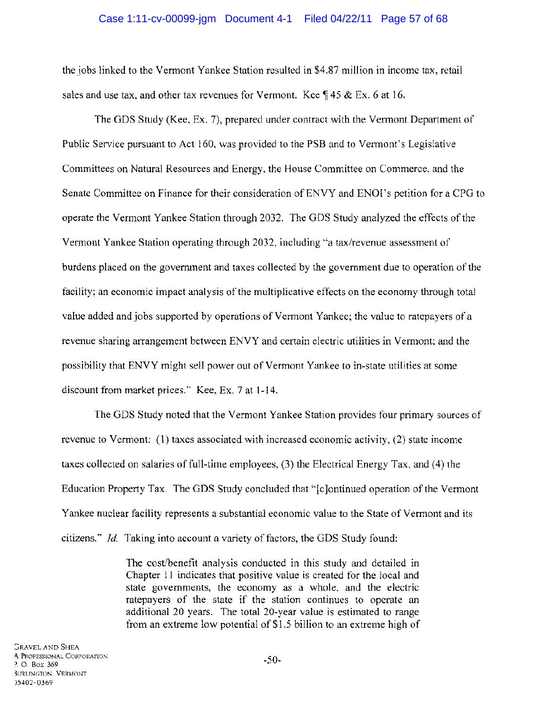#### Case 1:11-cv-00099-jgm Document 4-1 Filed 04/22/11 Page 57 of 68

the jobs linked to the Vermont Yankee Station resulted in \$4.87 million in income tax, retail sales and use tax, and other tax revenues for Vermont. Kee  $\frac{4}{5}$  45 & Ex. 6 at 16.

The GDS Study (Kee, Ex. 7), prepared under contract with the Vermont Department of Public Service pursuant to Act 160, was provided to the PSB and to Vermont's Legislative Committees on Natural Resources and Energy, the House Committee on Commerce, and the Senate Committee on Finance for their consideration of ENVY and ENOl's petition for a CPG to operate the Vermont Yankee Station through 2032. The GDS Study analyzed the effects of the Vermont Yankee Station operating through 2032, including "a tax/revenue assessment of burdens placed on the government and taxes collected by the government due to operation of the facility; an economic impact analysis of the multiplicative effects on the economy through total value added and jobs supported by operations of Vermont Yankee; the value to ratepayers of a revenue sharing arrangement between ENVY and certain electric utilities in Vermont; and the possibility that ENVY might sell power out of Vermont Yankee to in-state utilities at some discount from market prices." Kee, Ex. 7 at 1-14.

The GDS Study noted that the Vermont Yankee Station provides four primary sources of revenue to Vermont: (1) taxes associated with increased economic activity, (2) state income taxes collected on salaries of full-time employees, (3) the Electrical Energy Tax, and (4) the Education Property Tax. The GDS Study concluded that "[c]ontinued operation of the Vermont Yankee nuclear facility represents a substantial economic value to the State of Vermont and its citizens." *Id.* Taking into account a variety of factors, the GDS Study found:

> The cost/benefit analysis conducted in this study and detailed in Chapter 11 indicates that positive value is created for the local and state governments, the economy as a whole, and the electric ratepayers of the state if the station continues to operate an additional 20 years. The total 20-year value is estimated to range from an extreme low potential of \$1.5 billion to an extreme high of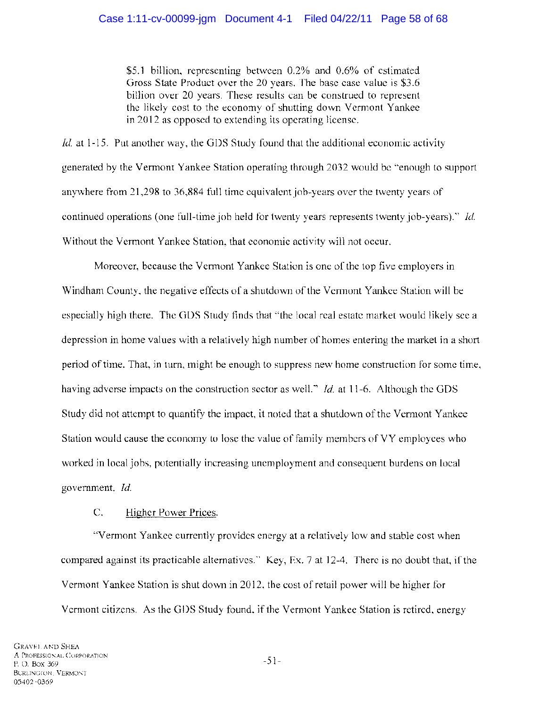\$5.1 billion, representing between 0.2% and 0.6% of estimated Gross State Product over the 20 years. The base case value is \$3.6 billion over 20 years. These results can be construed to represent the likely cost to the economy of shutting down Vermont Yankee in 2012 as opposed to extending its operating license.

*Id.* at 1-15. Put another way, the GDS Study found that the additional economic activity generated by the Vermont Yankee Station operating through 2032 would be "enough to support anywhere from 21,298 to 36,884 full time equivalent job-years over the twenty years of continued operations (one full-time job held for twenty years represents twenty job-years)." *Id.*  Without the Vermont Yankee Station, that economic activity will not occur.

Moreover, because the Vermont Yankee Station is one of the top five employers in Windham County, the negative effects of a shutdown of the Vermont Yankee Station will be especially high there. The GDS Study finds that "the local real estate market would likely see a depression in home values with a relatively high number of homes entering the market in a short period of time. That, in tum, might be enough to suppress new home construction for some time, having adverse impacts on the construction sector as well." *Id.* at 11-6. Although the GDS Study did not attempt to quantify the impact, it noted that a shutdown of the Vermont Yankee Station would cause the economy to lose the value of family members of VY employees who worked in local jobs, potentially increasing unemployment and consequent burdens on local government. *Id.* 

## C. Higher Power Prices.

"Vermont Yankee currently provides energy at a relatively low and stable cost when compared against its practicable alternatives." Key, Ex. 7 at 12-4. There is no doubt that, if the Vermont Yankee Station is shut down in 2012, the cost of retail power will be higher for Vermont citizens. As the GDS Study found, if the Vermont Yankee Station is retired, energy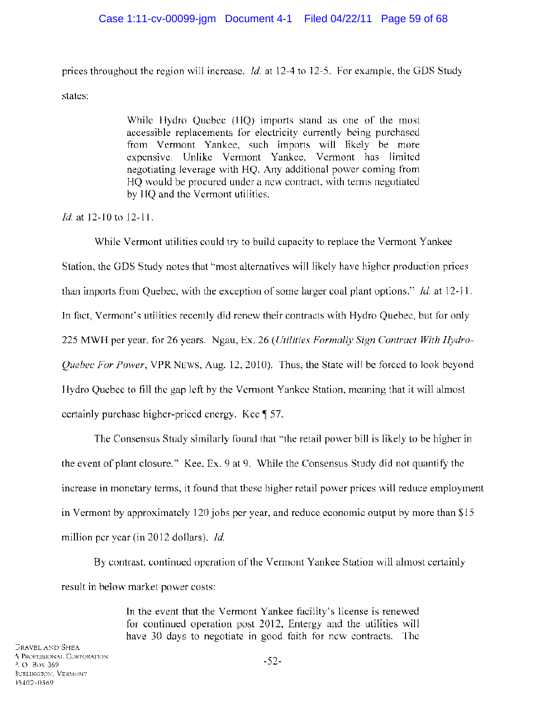prices throughout the region will increase. *Id.* at 12-4 to 12-5. For example, the ODS Study states:

> While Hydro Quebec (HQ) imports stand as one of the most accessible replacements for electricity currently being purchased from Vermont Yankee, such imports will likely be more expensive. Unlike Vermont Yankee, Vermont has limited negotiating leverage with HQ. Any additional power coming from HQ would be procured under a new contract, with terms negotiated by HQ and the Vermont utilities.

*Id.* at 12-10 to 12-11.

While Vermont utilities could try to build capacity to replace the Vermont Yankee Station, the ODS Study notes that "most alternatives will likely have higher production prices than imports from Quebec, with the exception of some larger coal plant options." *Id.* at 12-11. In fact, Vermont's utilities recently did renew their contracts with Hydro Quebec, but for only 225 MWH per year, for 26 years. Ngau, Ex. 26 *(Utilities Formally Sign Contract With Hydro-Quebec For Power,* VPRNEWS, Aug. 12,2010). Thus, the State will be forced to look beyond Hydro Quebec to fill the gap left by the Vermont Yankee Station, meaning that it will almost certainly purchase higher-priced energy. Kee  $\parallel$  57.

The Consensus Study similarly found that "the retail power bill is likely to be higher in the event of plant closure." Kee, Ex. 9 at 9. While the Consensus Study did not quantify the increase in monetary terms, it found that these higher retail power prices will reduce employment in Vermont by approximately 120 jobs per year, and reduce economic output by more than \$15 million per year (in 2012 dollars). *ld.* 

By contrast, continued operation of the Vermont Yankee Station will almost certainly result in below market power costs:

> In the event that the Vermont Yankee facility's license is renewed for continued operation post 2012, Entergy and the utilities will have 30 days to negotiate in good faith for new contracts. The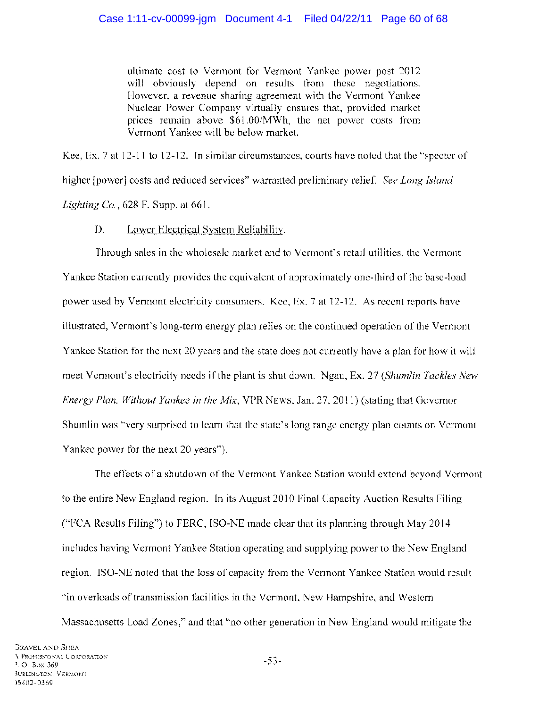ultimate cost to Vermont for Vermont Yankee power post 2012 will obviously depend on results from these negotiations. However, a revenue sharing agreement with the Vermont Yankee Nuclear Power Company virtually ensures that, provided market prices remain above *\$61.00/MWh,* the net power costs from Vermont Yankee will be below market.

Kee, Ex. 7 at 12-11 to 12-12. In similar circumstances, courts have noted that the "specter of higher [power] costs and reduced services" warranted preliminary relief. *See Long Island Lighting Co.,* 628 F. Supp. at 661.

## D. Lower Electrical System Reliability.

Through sales in the wholesale market and to Vermont's retail utilities, the Vermont Yankee Station currently provides the equivalent of approximately one-third of the base-load power used by Vermont electricity consumers. Kee, Ex. 7 at 12-12. As recent reports have illustrated, Vermont's long-term energy plan relies on the continued operation of the Vermont Yankee Station for the next 20 years and the state does not currently have a plan for how it will meet Vermont's electricity needs if the plant is shut down. Ngau, Ex. 27 *(Shumlin Tackles New Energy Plan, Without Yankee in the Mix,* VPR NEWS, Jan. 27, 2011) (stating that Governor Shurnlin was "very surprised to learn that the state's long range energy plan counts on Vermont Yankee power for the next 20 years").

The effects of a shutdown of the Vermont Yankee Station would extend beyond Vermont to the entire New England region. In its August 2010 Final Capacity Auction Results Filing ("FCA Results Filing") to FERC, ISO-NE made clear that its planning through May 2014 includes having Vermont Yankee Station operating and supplying power to the New England region. ISO-NE noted that the loss of capacity from the Vermont Yankee Station would result "in overloads of transmission facilities in the Vermont, New Hampshire, and Western Massachusetts Load Zones," and that "no other generation in New England would mitigate the

-53-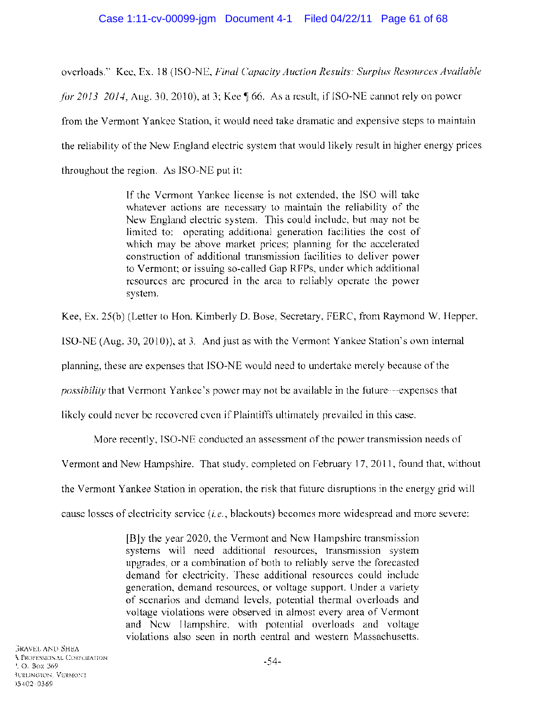overloads." Kee, Ex. 18 (ISO-NE, *Final Capacity Auction Results: Surplus Resources Available for 2013-2014*, Aug. 30, 2010), at 3; Kee  $\parallel$  66. As a result, if ISO-NE cannot rely on power from the Vermont Yankee Station, it would need take dramatic and expensive steps to maintain the reliability of the New England electric system that would likely result in higher energy prices throughout the region. As ISO-NE put it:

> If the Vermont Yankee license is not extended, the ISO will take whatever actions are necessary to maintain the reliability of the New England electric system. This could include, but may not be limited to: operating additional generation facilities the cost of which may be above market prices; planning for the accelerated construction of additional transmission facilities to deliver power to Vermont; or issuing so-called Gap RFPs, under which additional resources are procured in the area to reliably operate the power system.

Kee, Ex. 25(b) (Letter to Hon. Kimberly D. Bose, Secretary, FERC, from Raymond W. Hepper,

ISO-NE (Aug. 30, 2010)), at 3. And just as with the Vermont Yankee Station's own internal

planning, these are expenses that ISO-NE would need to undertake merely because of the

*possibility* that Vermont Yankee's power may not be available in the future-expenses that

likely could never be recovered even if Plaintiffs ultimately prevailed in this case.

More recently, ISO-NE conducted an assessment of the power transmission needs of

Vermont and New Hampshire. That study, completed on February 17,2011, found that, without

the Vermont Yankee Station in operation, the risk that future disruptions in the energy grid will

cause losses of electricity service (i. *e.,* blackouts) becomes more widespread and more severe:

[B]y the year 2020, the Vermont and New Hampshire transmission systems will need additional resources, transmission system upgrades, or a combination of both to reliably serve the forecasted demand for electricity. These additional resources could include generation, demand resources, or voltage support. Under a variety of scenarios and demand levels, potential thermal overloads and voltage violations were observed in almost every area of Vermont and New Hampshire, with potential overloads and voltage violations also seen in north central and western Massachusetts.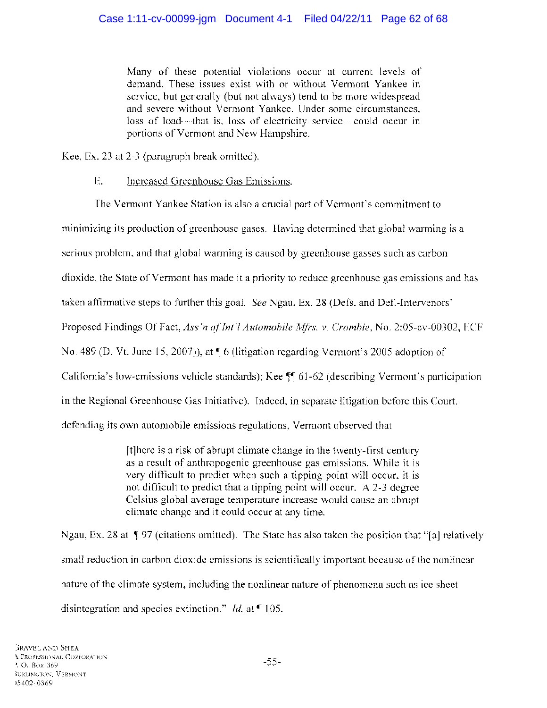Many of these potential violations occur at current levels of demand. These issues exist with or without Vermont Yankee in service, but generally (but not always) tend to be more widespread and severe without Vermont Yankee. Under some circumstances, loss of load----that is, loss of electricity service-could occur in portions of Vermont and New Hampshire.

Kee, Ex. 23 at 2-3 (paragraph break omitted).

# E. Increased Greenhouse Gas Emissions.

The Vermont Yankee Station is also a crucial part of Vermont's commitment to minimizing its production of greenhouse gases. Having determined that global warming is a serious problem, and that global warming is caused by greenhouse gasses such as carbon dioxide, the State of Vermont has made it a priority to reduce greenhouse gas emissions and has taken affirmative steps to further this goal. *See* Ngau, Ex. 28 (Defs. and Def.-Intervenors' Proposed Findings Of Fact, *Ass 'n of Int* '/ *Automobile Mfrs.* v. *Crombie,* No. 2:05-cv-00302, ECF No. 489 (D. Vt. June 15, 2007)), at  $\blacktriangledown$  6 (litigation regarding Vermont's 2005 adoption of California's low-emissions vehicle standards); Kee  $\mathbb{F}$  61-62 (describing Vermont's participation in the Regional Greenhouse Gas Initiative). Indeed, in separate litigation before this Court, defending its own automobile emissions regulations, Vermont observed that

> [t]here is a risk of abrupt climate change in the twenty-first century as a result of anthropogenic greenhouse gas emissions. While it is very difficult to predict when such a tipping point will occur, it is not difficult to predict that a tipping point will occur. A 2-3 degree Celsius global average temperature increase would cause an abrupt climate change and it could occur at any time.

Ngau, Ex. 28 at  $\sqrt{97}$  (citations omitted). The State has also taken the position that "[a] relatively small reduction in carbon dioxide emissions is scientifically important because of the nonlinear nature of the climate system, including the nonlinear nature of phenomena such as ice sheet disintegration and species extinction." *Id.* at  $\blacksquare$  105.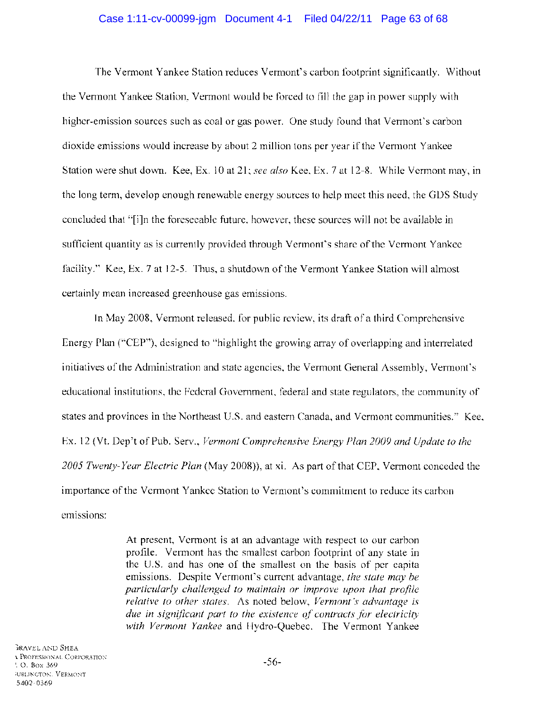#### Case 1:11-cv-00099-jgm Document 4-1 Filed 04/22/11 Page 63 of 68

The Vermont Yankee Station reduces Vermont's carbon footprint significantly. Without the Vermont Yankee Station, Vermont would be forced to fill the gap in power supply with higher-emission sources such as coal or gas power. One study found that Vermont's carbon dioxide emissions would increase by about 2 million tons per year if the Vermont Yankee Station were shut down. Kee, Ex. 10 at 21; *see also* Kee, Ex. 7 at 12-8. While Vermont may, in the long term, develop enough renewable energy sources to help meet this need, the GDS Study concluded that "[i]n the foreseeable future, however, these sources will not be available in sufficient quantity as is currently provided through Vermont's share of the Vermont Yankee facility." Kee, Ex. 7 at 12-5. Thus, a shutdown of the Vermont Yankee Station will almost certainly mean increased greenhouse gas emissions.

In May 2008, Vermont released, for public review, its draft of a third Comprehensive Energy Plan ("CEP"), designed to "highlight the growing array of overlapping and interrelated initiatives of the Administration and state agencies, the Vermont General Assembly, Vermont's educational institutions, the Federal Government, federal and state regulators, the community of states and provinces in the Northeast U.S. and eastern Canada, and Vermont communities." Kee, Ex. 12 (Vt. Dep't of Pub. Serv., *Vermont Comprehensive Energy Plan 2009 and Update to the 2005 Twenty-Year Electric Plan* (May 2008)), at xi. As part of that CEP, Vermont conceded the importance of the Vermont Yankee Station to Vermont's commitment to reduce its carbon emissions:

> At present, Vermont is at an advantage with respect to our carbon profile. Vermont has the smallest carbon footprint of any state in the U.S. and has one of the smallest on the basis of per capita emissions. Despite Vermont's current advantage, *the state may be particularly challenged to maintain or improve upon that profile relative to other states.* As noted below, *Vermont's advantage is due in significant part to the existence of contracts for electricity with Vermont Yankee* and Hydro-Quebec. The Vermont Yankee

}RAVEL AND SHEA <sup>~</sup>PROFESSIONAL CORPORATION '. O. Box 369 iURLINGTON. VERMONT 15402-0369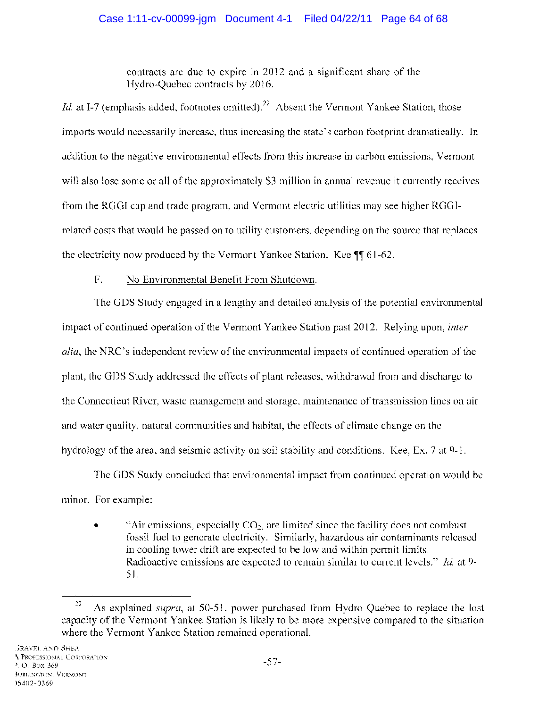## Case 1:11-cv-00099-jgm Document 4-1 Filed 04/22/11 Page 64 of 68

contracts are due to expire in 2012 and a significant share of the Hydro-Quebec contracts by 2016.

*Id.* at I-7 (emphasis added, footnotes omitted).<sup>22</sup> Absent the Vermont Yankee Station, those imports would necessarily increase, thus increasing the state's carbon footprint dramatically. In addition to the negative environmental effects from this increase in carbon emissions, Vermont will also lose some or all of the approximately \$3 million in annual revenue it currently receives from the ROOI cap and trade program, and Vermont electric utilities may see higher ROOIrelated costs that would be passed on to utility customers, depending on the source that replaces the electricity now produced by the Vermont Yankee Station. Kee  $\P$  61-62.

## F. No Environmental Benefit From Shutdown.

The ODS Study engaged in a lengthy and detailed analysis of the potential environmental impact of continued operation of the Vermont Yankee Station past 2012. Relying upon, *inter alia,* the NRC's independent review of the environmental impacts of continued operation of the plant, the ODS Study addressed the effects of plant releases, withdrawal from and discharge to the Connecticut River, waste management and storage, maintenance of transmission lines on air and water quality, natural communities and habitat, the effects of climate change on the hydrology of the area, and seismic activity on soil stability and conditions. Kee, Ex. 7 at 9-1.

The ODS Study concluded that environmental impact from continued operation would be minor. For example:

"Air emissions, especially  $CO<sub>2</sub>$ , are limited since the facility does not combust fossil fuel to generate electricity. Similarly, hazardous air contaminants released in cooling tower drift are expected to be low and within permit limits. Radioactive emissions are expected to remain similar to current levels." *Id.* at 9- 51.

<sup>22</sup> As explained *supra,* at 50-51, power purchased from Hydro Quebec to replace the lost capacity of the Vermont Yankee Station is likely to be more expensive compared to the situation where the Vermont Yankee Station remained operational.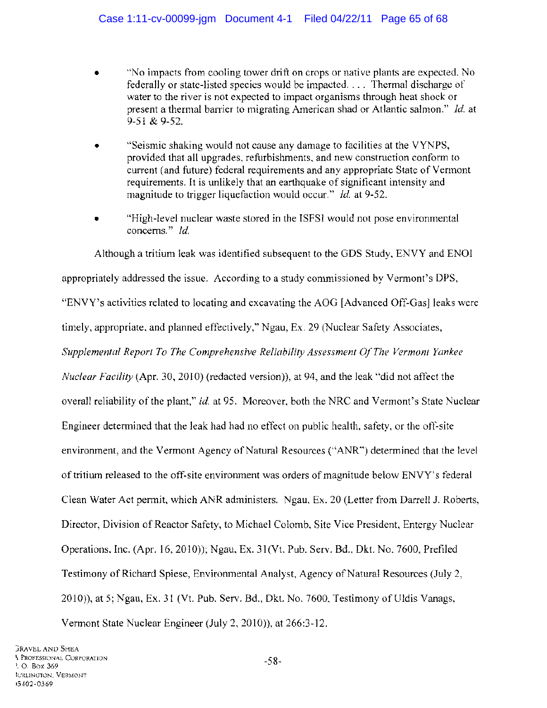- "No impacts from cooling tower drift on crops or native plants are expected. No federally or state-listed species would be impacted .... Thermal discharge of water to the river is not expected to impact organisms through heat shock or present a thermal barrier to migrating American shad or Atlantic salmon." *Id.* at 9-51 & 9-52.
- "Seismic shaking would not cause any damage to facilities at the VYNPS, provided that all upgrades, refurbishments, and new construction conform to current (and future) federal requirements and any appropriate State of Vermont requirements. It is unlikely that an earthquake of significant intensity and magnitude to trigger liquefaction would occur." *Id.* at 9-52.
- "High-level nuclear waste stored in the ISFSI would not pose environmental concerns." *Id.*

Although a tritium leak was identified subsequent to the GDS Study, ENVY and ENOl appropriately addressed the issue. According to a study commissioned by Vermont's DPS, "ENVY's activities related to locating and excavating the AOG [Advanced Off-Gas] leaks were timely, appropriate, and planned effectively," Ngau, Ex. 29 (Nuclear Safety Associates, *Supplemental Report To The Comprehensive Reliability Assessment Of The Vermont Yankee Nuclear Facility* (Apr. 30,2010) (redacted version)), at 94, and the leak "did not affect the overall reliability of the plant," *id.* at 95. Moreover, both the NRC and Vermont's State Nuclear Engineer determined that the leak had had no effect on public health, safety, or the off-site environment, and the Vermont Agency of Natural Resources ("ANR") determined that the level of tritium released to the off-site environment was orders of magnitude below ENVY's federal Clean Water Act permit, which ANR administers. Ngau, Ex. 20 (Letter from Darrell J. Roberts, Director, Division of Reactor Safety, to Michael Colomb, Site Vice President, Entergy Nuclear Operations, Inc. (Apr. 16, 2010)); Ngau, Ex. 31(Vt. Pub. Serv. Bd., Dkt. No. 7600, Prefiled Testimony of Richard Spiese, Environmental Analyst, Agency of Natural Resources (July 2, 2010)), at 5; Ngau, Ex. 31 (Vt. Pub. Serv. Bd., Dkt. No. 7600, Testimony of Uldis Vanags, Vermont State Nuclear Engineer (July 2,2010)), at 266:3-12.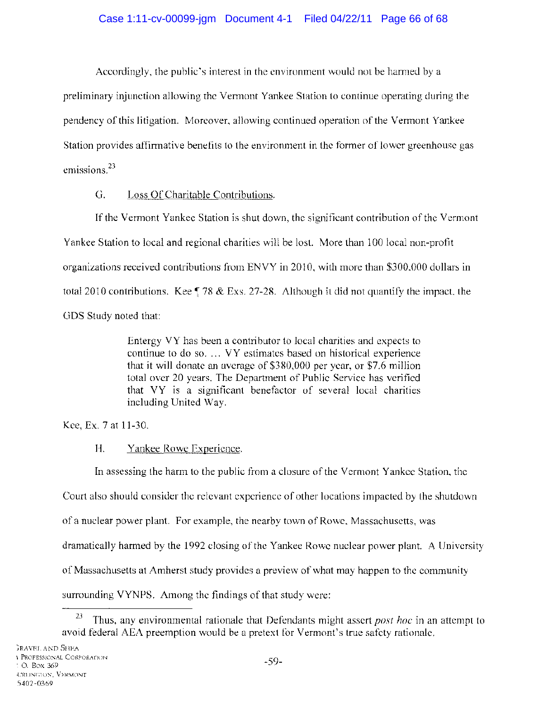Accordingly, the public's interest in the environment would not be harmed by a

preliminary injunction allowing the Vermont Yankee Station to continue operating during the pendency of this litigation. Moreover, allowing continued operation of the Vermont Yankee Station provides affirmative benefits to the environment in the former of lower greenhouse gas emissions.<sup>23</sup>

# G. Loss Of Charitable Contributions.

If the Vermont Yankee Station is shut down, the significant contribution of the Vermont Yankee Station to local and regional charities will be lost. More than 100 local non-profit organizations received contributions from ENVY in 2010, with more than \$300,000 dollars in total 2010 contributions. Kee  $\sqrt{5}$  78 & Exs. 27-28. Although it did not quantify the impact, the GDS Study noted that:

> Entergy VY has been a contributor to local charities and expects to continue to do so. ... VY estimates based on historical experience that it will donate an average of \$380,000 per year, or \$7.6 million total over 20 years. The Department of Public Service has verified that VY is a significant benefactor of several local charities including United Way.

Kee, Ex. 7 at 11-30.

# H. Yankee Rowe Experience.

In assessing the harm to the public from a closure of the Vermont Yankee Station, the

Court also should consider the relevant experience of other locations impacted by the shutdown

of a nuclear power plant. For example, the nearby town of Rowe, Massachusetts, was

dramatically harmed by the 1992 closing of the Yankee Rowe nuclear power plant. A University

of Massachusetts at Amherst study provides a preview of what may happen to the community

surrounding VYNPS. Among the findings of that study were:

<sup>23</sup> Thus, any environmental rationale that Defendants might assert *post hoc* in an attempt to avoid federal AEA preemption would be a pretext for Vermont's true safety rationale.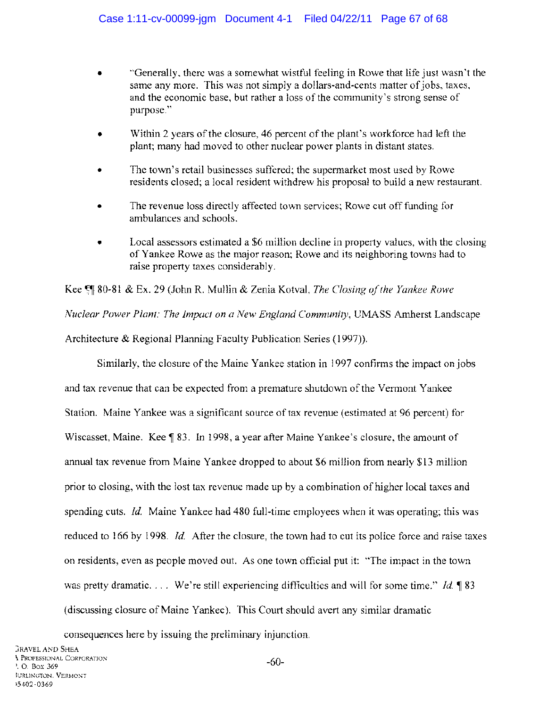- "Generally, there was a somewhat wistful feeling in Rowe that life just wasn't the same any more. This was not simply a dollars-and-cents matter of jobs, taxes, and the economic base, but rather a loss of the community's strong sense of purpose."
- Within 2 years of the closure, 46 percent of the plant's workforce had left the plant; many had moved to other nuclear power plants in distant states.
- The town's retail businesses suffered; the supermarket most used by Rowe residents closed; a local resident withdrew his proposal to build a new restaurant.
- The revenue loss directly affected town services; Rowe cut off funding for ambulances and schools.
- Local assessors estimated a \$6 million decline in property values, with the closing of Yankee Rowe as the major reason; Rowe and its neighboring towns had to raise property taxes considerably.

Kee  $\mathbb{S}$  80-81 & Ex. 29 (John R. Mullin & Zenia Kotval, *The Closing of the Yankee Rowe Nuclear Power Plant: The Impact on a New England Community, UMASS Amherst Landscape* Architecture & Regional Planning Faculty Publication Series (1997».

Similarly, the closure of the Maine Yankee station in 1997 confirms the impact on jobs and tax revenue that can be expected from a premature shutdown of the Vermont Yankee Station. Maine Yankee was a significant source of tax revenue (estimated at 96 percent) for Wiscasset, Maine. Kee 183. In 1998, a year after Maine Yankee's closure, the amount of annual tax revenue from Maine Yankee dropped to about \$6 million from nearly \$13 million prior to closing, with the lost tax revenue made up by a combination of higher local taxes and spending cuts. *Id.* Maine Yankee had 480 full-time employees when it was operating; this was reduced to 166 by 1998. *Id.* After the closure, the town had to cut its police force and raise taxes on residents, even as people moved out. As one town official put it: "The impact in the town was pretty dramatic. ... We're still experiencing difficulties and will for some time." *Id.* 183 (discussing closure of Maine Yankee). This Court should avert any similar dramatic

consequences here by issuing the preliminary injunction.